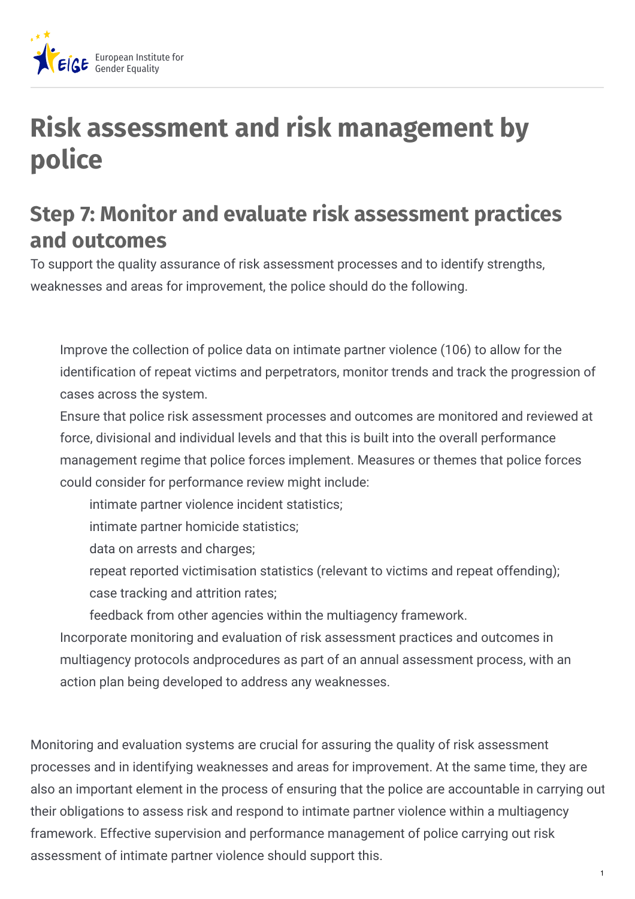

## **Risk assessment and risk management by police**

## **Step 7: Monitor and evaluate risk assessment practices and outcomes**

To support the quality assurance of risk assessment processes and to identify strengths, weaknesses and areas for improvement, the police should do the following.

Improve the collection of police data on intimate partner violence (106) to allow for the identification of repeat victims and perpetrators, monitor trends and track the progression of cases across the system.

Ensure that police risk assessment processes and outcomes are monitored and reviewed at force, divisional and individual levels and that this is built into the overall performance management regime that police forces implement. Measures or themes that police forces could consider for performance review might include:

intimate partner violence incident statistics;

intimate partner homicide statistics;

data on arrests and charges;

repeat reported victimisation statistics (relevant to victims and repeat offending); case tracking and attrition rates;

feedback from other agencies within the multiagency framework.

Incorporate monitoring and evaluation of risk assessment practices and outcomes in multiagency protocols andprocedures as part of an annual assessment process, with an action plan being developed to address any weaknesses.

Monitoring and evaluation systems are crucial for assuring the quality of risk assessment processes and in identifying weaknesses and areas for improvement. At the same time, they are also an important element in the process of ensuring that the police are accountable in carrying out their obligations to assess risk and respond to intimate partner violence within a multiagency framework. Effective supervision and performance management of police carrying out risk assessment of intimate partner violence should support this.